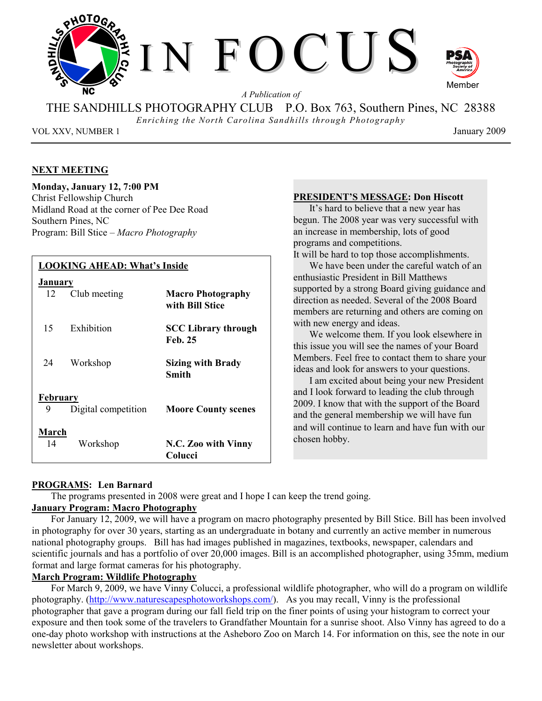

*A Publication of* 

THE SANDHILLS PHOTOGRAPHY CLUB P.O. Box 763, Southern Pines, NC 28388

*Enriching the North Carolina Sandhills through Photography* 

VOL XXV, NUMBER 1 January 2009

#### **NEXT MEETING**

#### **Monday, January 12, 7:00 PM**

Christ Fellowship Church Midland Road at the corner of Pee Dee Road Southern Pines, NC Program: Bill Stice – *Macro Photography*

### **LOOKING AHEAD: What's Inside January** 12 Club meeting **Macro Photography with Bill Stice**  15 Exhibition **SCC Library through Feb. 25**  24 Workshop **Sizing with Brady Smith February** 9 Digital competition **Moore County scenes March** 14 Workshop **N.C. Zoo with Vinny Colucci**

#### **PRESIDENT'S MESSAGE: Don Hiscott**

It's hard to believe that a new year has begun. The 2008 year was very successful with an increase in membership, lots of good programs and competitions.

It will be hard to top those accomplishments.

We have been under the careful watch of an enthusiastic President in Bill Matthews supported by a strong Board giving guidance and direction as needed. Several of the 2008 Board members are returning and others are coming on with new energy and ideas.

We welcome them. If you look elsewhere in this issue you will see the names of your Board Members. Feel free to contact them to share your ideas and look for answers to your questions.

I am excited about being your new President and I look forward to leading the club through 2009. I know that with the support of the Board and the general membership we will have fun and will continue to learn and have fun with our chosen hobby.

#### **PROGRAMS: Len Barnard**

The programs presented in 2008 were great and I hope I can keep the trend going.

#### **January Program: Macro Photography**

For January 12, 2009, we will have a program on macro photography presented by Bill Stice. Bill has been involved in photography for over 30 years, starting as an undergraduate in botany and currently an active member in numerous national photography groups. Bill has had images published in magazines, textbooks, newspaper, calendars and scientific journals and has a portfolio of over 20,000 images. Bill is an accomplished photographer, using 35mm, medium format and large format cameras for his photography.

#### **March Program: Wildlife Photography**

For March 9, 2009, we have Vinny Colucci, a professional wildlife photographer, who will do a program on wildlife photography. (http://www.naturescapesphotoworkshops.com/). As you may recall, Vinny is the professional photographer that gave a program during our fall field trip on the finer points of using your histogram to correct your exposure and then took some of the travelers to Grandfather Mountain for a sunrise shoot. Also Vinny has agreed to do a one-day photo workshop with instructions at the Asheboro Zoo on March 14. For information on this, see the note in our newsletter about workshops.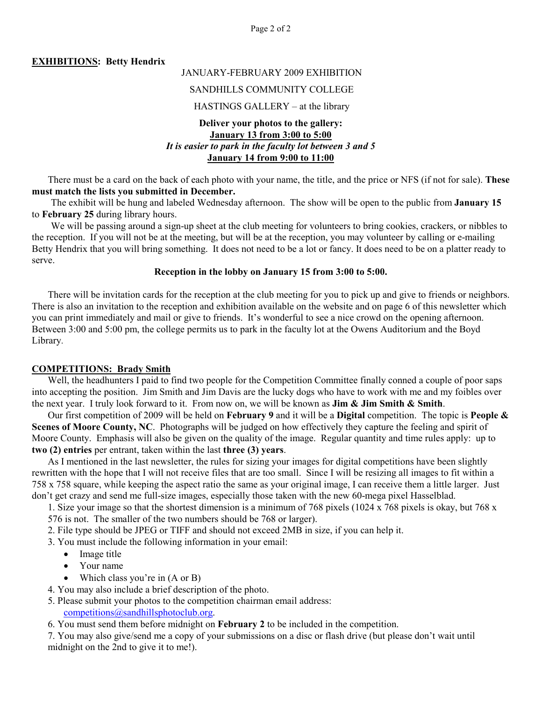Page 2 of 2

#### **EXHIBITIONS: Betty Hendrix**

#### JANUARY-FEBRUARY 2009 EXHIBITION

#### SANDHILLS COMMUNITY COLLEGE

#### HASTINGS GALLERY – at the library

#### **Deliver your photos to the gallery: January 13 from 3:00 to 5:00** *It is easier to park in the faculty lot between 3 and 5*  **January 14 from 9:00 to 11:00**

There must be a card on the back of each photo with your name, the title, and the price or NFS (if not for sale). **These must match the lists you submitted in December.** 

The exhibit will be hung and labeled Wednesday afternoon. The show will be open to the public from **January 15** to **February 25** during library hours.

We will be passing around a sign-up sheet at the club meeting for volunteers to bring cookies, crackers, or nibbles to the reception. If you will not be at the meeting, but will be at the reception, you may volunteer by calling or e-mailing Betty Hendrix that you will bring something. It does not need to be a lot or fancy. It does need to be on a platter ready to serve.

#### **Reception in the lobby on January 15 from 3:00 to 5:00.**

There will be invitation cards for the reception at the club meeting for you to pick up and give to friends or neighbors. There is also an invitation to the reception and exhibition available on the website and on page 6 of this newsletter which you can print immediately and mail or give to friends. It's wonderful to see a nice crowd on the opening afternoon. Between 3:00 and 5:00 pm, the college permits us to park in the faculty lot at the Owens Auditorium and the Boyd Library.

#### **COMPETITIONS: Brady Smith**

Well, the headhunters I paid to find two people for the Competition Committee finally conned a couple of poor saps into accepting the position. Jim Smith and Jim Davis are the lucky dogs who have to work with me and my foibles over the next year. I truly look forward to it. From now on, we will be known as **Jim & Jim Smith & Smith**.

Our first competition of 2009 will be held on **February 9** and it will be a **Digital** competition. The topic is **People & Scenes of Moore County, NC**. Photographs will be judged on how effectively they capture the feeling and spirit of Moore County. Emphasis will also be given on the quality of the image. Regular quantity and time rules apply: up to **two (2) entries** per entrant, taken within the last **three (3) years**.

As I mentioned in the last newsletter, the rules for sizing your images for digital competitions have been slightly rewritten with the hope that I will not receive files that are too small. Since I will be resizing all images to fit within a 758 x 758 square, while keeping the aspect ratio the same as your original image, I can receive them a little larger. Just don't get crazy and send me full-size images, especially those taken with the new 60-mega pixel Hasselblad.

1. Size your image so that the shortest dimension is a minimum of 768 pixels (1024 x 768 pixels is okay, but 768 x 576 is not. The smaller of the two numbers should be 768 or larger).

2. File type should be JPEG or TIFF and should not exceed 2MB in size, if you can help it.

3. You must include the following information in your email:

- Image title
- Your name
- Which class you're in (A or B)
- 4. You may also include a brief description of the photo.
- 5. Please submit your photos to the competition chairman email address:
	- competitions@sandhillsphotoclub.org.
- 6. You must send them before midnight on **February 2** to be included in the competition.

7. You may also give/send me a copy of your submissions on a disc or flash drive (but please don't wait until midnight on the 2nd to give it to me!).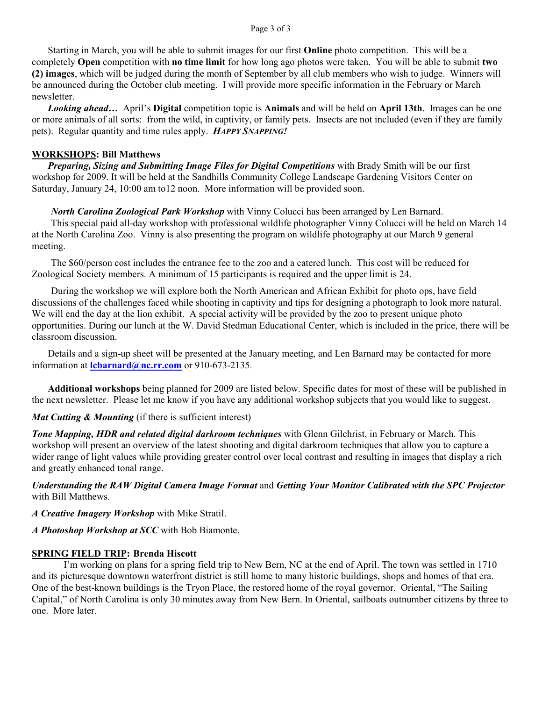#### Page 3 of 3

Starting in March, you will be able to submit images for our first **Online** photo competition. This will be a completely **Open** competition with **no time limit** for how long ago photos were taken. You will be able to submit **two (2) images**, which will be judged during the month of September by all club members who wish to judge. Winners will be announced during the October club meeting. I will provide more specific information in the February or March newsletter.

*Looking ahead…* April's **Digital** competition topic is **Animals** and will be held on **April 13th**. Images can be one or more animals of all sorts: from the wild, in captivity, or family pets. Insects are not included (even if they are family pets). Regular quantity and time rules apply. *HAPPY SNAPPING!*

#### **WORKSHOPS: Bill Matthews**

 *Preparing, Sizing and Submitting Image Files for Digital Competitions* with Brady Smith will be our first workshop for 2009. It will be held at the Sandhills Community College Landscape Gardening Visitors Center on Saturday, January 24, 10:00 am to12 noon. More information will be provided soon.

#### *North Carolina Zoological Park Workshop* with Vinny Colucci has been arranged by Len Barnard.

This special paid all-day workshop with professional wildlife photographer Vinny Colucci will be held on March 14 at the North Carolina Zoo. Vinny is also presenting the program on wildlife photography at our March 9 general meeting.

The \$60/person cost includes the entrance fee to the zoo and a catered lunch. This cost will be reduced for Zoological Society members. A minimum of 15 participants is required and the upper limit is 24.

During the workshop we will explore both the North American and African Exhibit for photo ops, have field discussions of the challenges faced while shooting in captivity and tips for designing a photograph to look more natural. We will end the day at the lion exhibit. A special activity will be provided by the zoo to present unique photo opportunities. During our lunch at the W. David Stedman Educational Center, which is included in the price, there will be classroom discussion.

 Details and a sign-up sheet will be presented at the January meeting, and Len Barnard may be contacted for more information at **lcbarnard@nc.rr.com** or 910-673-2135.

 **Additional workshops** being planned for 2009 are listed below. Specific dates for most of these will be published in the next newsletter. Please let me know if you have any additional workshop subjects that you would like to suggest.

#### *Mat Cutting & Mounting* (if there is sufficient interest)

*Tone Mapping, HDR and related digital darkroom techniques* with Glenn Gilchrist, in February or March. This workshop will present an overview of the latest shooting and digital darkroom techniques that allow you to capture a wider range of light values while providing greater control over local contrast and resulting in images that display a rich and greatly enhanced tonal range.

*Understanding the RAW Digital Camera Image Format* and *Getting Your Monitor Calibrated with the SPC Projector*  with Bill Matthews.

*A Creative Imagery Workshop* with Mike Stratil.

#### *A Photoshop Workshop at SCC* with Bob Biamonte.

#### **SPRING FIELD TRIP: Brenda Hiscott**

I'm working on plans for a spring field trip to New Bern, NC at the end of April. The town was settled in 1710 and its picturesque downtown waterfront district is still home to many historic buildings, shops and homes of that era. One of the best-known buildings is the Tryon Place, the restored home of the royal governor. Oriental, "The Sailing Capital," of North Carolina is only 30 minutes away from New Bern. In Oriental, sailboats outnumber citizens by three to one. More later.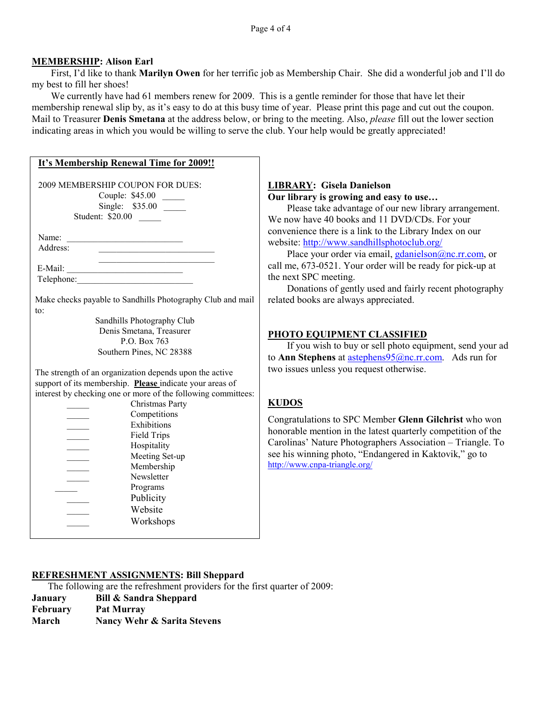#### **MEMBERSHIP: Alison Earl**

First, I'd like to thank **Marilyn Owen** for her terrific job as Membership Chair. She did a wonderful job and I'll do my best to fill her shoes!

We currently have had 61 members renew for 2009. This is a gentle reminder for those that have let their membership renewal slip by, as it's easy to do at this busy time of year. Please print this page and cut out the coupon. Mail to Treasurer **Denis Smetana** at the address below, or bring to the meeting. Also, *please* fill out the lower section indicating areas in which you would be willing to serve the club. Your help would be greatly appreciated!

| It's Membership Renewal Time for 2009!!                                    |                |
|----------------------------------------------------------------------------|----------------|
| 2009 MEMBERSHIP COUPON FOR DUES:                                           | <b>LIBRA</b>   |
| Couple: \$45.00                                                            | Our lil        |
| Single: \$35.00 _______                                                    | P <sub>1</sub> |
| Student: \$20.00                                                           | We nov         |
|                                                                            | conven         |
| Name:<br><u> 1989 - Johann Barbara, martin da kasar Amerika Indonesia.</u> | website        |
| Address:                                                                   | P <sub>1</sub> |
|                                                                            | call me        |
|                                                                            | the nex        |
|                                                                            | D              |
| Make checks payable to Sandhills Photography Club and mail                 | related        |
| $\mathsf{to}$ :                                                            |                |
| Sandhills Photography Club                                                 |                |
| Denis Smetana, Treasurer                                                   |                |
| P.O. Box 763                                                               | <b>PHOT</b>    |
| Southern Pines, NC 28388                                                   | <b>If</b>      |
|                                                                            | to Ann         |
| The strength of an organization depends upon the active                    | two iss        |
| support of its membership. Please indicate your areas of                   |                |
| interest by checking one or more of the following committees:              |                |
| Christmas Party                                                            | <b>KUDO</b>    |
| Competitions                                                               | Congra         |
| Exhibitions                                                                | honora         |
| Field Trips                                                                | Carolin        |
| Hospitality                                                                |                |
| Meeting Set-up                                                             | see his        |
| Membership                                                                 | http://w       |
| Newsletter                                                                 |                |
| Programs                                                                   |                |
| Publicity                                                                  |                |
| Website                                                                    |                |
| Workshops                                                                  |                |
|                                                                            |                |

#### **LIBRARY: Gisela Danielson Councily is also increased in the property is growing and easy to use...**

ease take advantage of our new library arrangement. w have 40 books and 11 DVD/CDs. For your ience there is a link to the Library Index on our  $\equiv$ : http://www.sandhillsphotoclub.org/

ace your order via email, gdanielson@nc.rr.com, or 673-0521. Your order will be ready for pick-up at t SPC meeting.

onations of gently used and fairly recent photography books are always appreciated.

#### *O* EQUIPMENT CLASSIFIED

you wish to buy or sell photo equipment, send your ad **Stephens** at astephens<sup>95@nc.rr.com. Ads run for</sup> ues unless you request otherwise.

#### $\mathbf{S}$

tulations to SPC Member **Glenn Gilchrist** who won ble mention in the latest quarterly competition of the as' Nature Photographers Association – Triangle. To winning photo, "Endangered in Kaktovik," go to ww.cnpa-triangle.org/

#### **REFRESHMENT ASSIGNMENTS: Bill Sheppard**

The following are the refreshment providers for the first quarter of 2009:

- **January Bill & Sandra Sheppard**
- **February Pat Murray**
- **March Nancy Wehr & Sarita Stevens**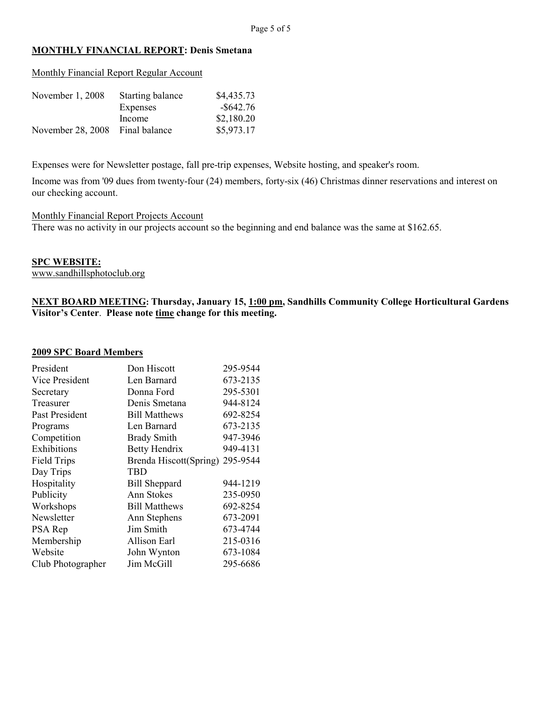#### **MONTHLY FINANCIAL REPORT: Denis Smetana**

|  | Monthly Financial Report Regular Account |
|--|------------------------------------------|
|  |                                          |

| November 1, 2008  | Starting balance | \$4,435.73   |
|-------------------|------------------|--------------|
|                   | Expenses         | $-$ \$642.76 |
|                   | Income           | \$2,180.20   |
| November 28, 2008 | Final balance    | \$5,973.17   |

Expenses were for Newsletter postage, fall pre-trip expenses, Website hosting, and speaker's room.

Income was from '09 dues from twenty-four (24) members, forty-six (46) Christmas dinner reservations and interest on our checking account.

#### Monthly Financial Report Projects Account

There was no activity in our projects account so the beginning and end balance was the same at \$162.65.

#### **SPC WEBSITE:**

www.sandhillsphotoclub.org

**NEXT BOARD MEETING: Thursday, January 15, 1:00 pm, Sandhills Community College Horticultural Gardens Visitor's Center**. **Please note time change for this meeting.** 

#### **2009 SPC Board Members**

| President          | Don Hiscott            | 295-9544 |
|--------------------|------------------------|----------|
| Vice President     | Len Barnard            | 673-2135 |
| Secretary          | Donna Ford             | 295-5301 |
| Treasurer          | Denis Smetana          | 944-8124 |
| Past President     | <b>Bill Matthews</b>   | 692-8254 |
| Programs           | Len Barnard            | 673-2135 |
| Competition        | <b>Brady Smith</b>     | 947-3946 |
| Exhibitions        | Betty Hendrix          | 949-4131 |
| <b>Field Trips</b> | Brenda Hiscott(Spring) | 295-9544 |
| Day Trips          | TBD                    |          |
| Hospitality        | <b>Bill Sheppard</b>   | 944-1219 |
| Publicity          | Ann Stokes             | 235-0950 |
| Workshops          | <b>Bill Matthews</b>   | 692-8254 |
| Newsletter         | Ann Stephens           | 673-2091 |
| PSA Rep            | Jim Smith              | 673-4744 |
| Membership         | Allison Earl           | 215-0316 |
| Website            | John Wynton            | 673-1084 |
| Club Photographer  | Jim McGill             | 295-6686 |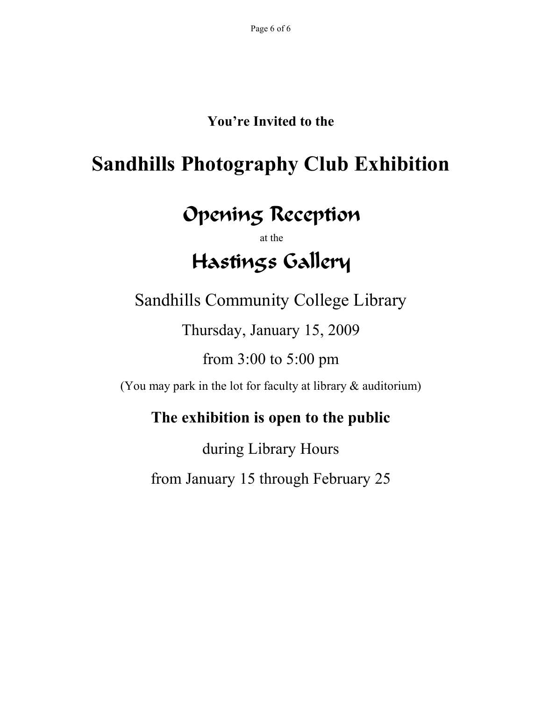### **You're Invited to the**

## **Sandhills Photography Club Exhibition**

## Opening Reception

at the

# Hastings Gallery

Sandhills Community College Library

Thursday, January 15, 2009

from 3:00 to 5:00 pm

(You may park in the lot for faculty at library & auditorium)

### **The exhibition is open to the public**

during Library Hours from January 15 through February 25